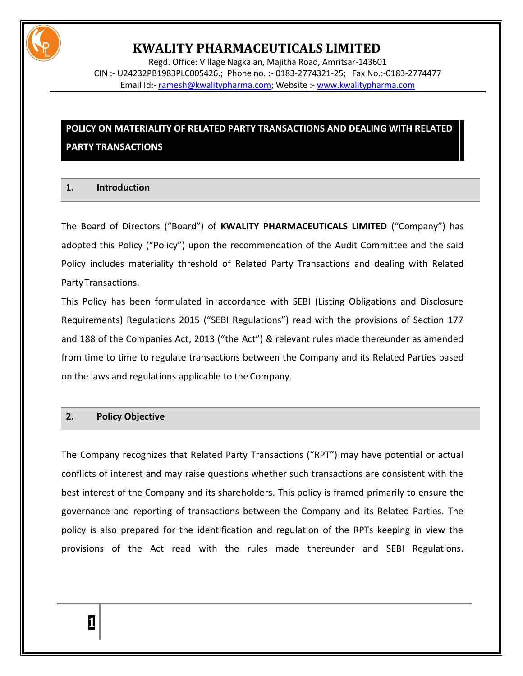

Regd. Office: Village Nagkalan, Majitha Road, Amritsar-143601 CIN :- U24232PB1983PLC005426.; Phone no. :- 0183-2774321-25; Fax No.:-0183-2774477 Email Id:- [ramesh@kwalitypharma.com;](mailto:ramesh@kwalitypharma.com) Website :- [www.kwalitypharma.com](http://www.kwalitypharma.com/)

### **POLICY ON MATERIALITY OF RELATED PARTY TRANSACTIONS AND DEALING WITH RELATED PARTY TRANSACTIONS**

### **1. Introduction**

The Board of Directors ("Board") of **KWALITY PHARMACEUTICALS LIMITED** ("Company") has adopted this Policy ("Policy") upon the recommendation of the Audit Committee and the said Policy includes materiality threshold of Related Party Transactions and dealing with Related PartyTransactions.

This Policy has been formulated in accordance with SEBI (Listing Obligations and Disclosure Requirements) Regulations 2015 ("SEBI Regulations") read with the provisions of Section 177 and 188 of the Companies Act, 2013 ("the Act") & relevant rules made thereunder as amended from time to time to regulate transactions between the Company and its Related Parties based on the laws and regulations applicable to the Company.

#### **2. Policy Objective**

The Company recognizes that Related Party Transactions ("RPT") may have potential or actual conflicts of interest and may raise questions whether such transactions are consistent with the best interest of the Company and its shareholders. This policy is framed primarily to ensure the governance and reporting of transactions between the Company and its Related Parties. The policy is also prepared for the identification and regulation of the RPTs keeping in view the provisions of the Act read with the rules made thereunder and SEBI Regulations.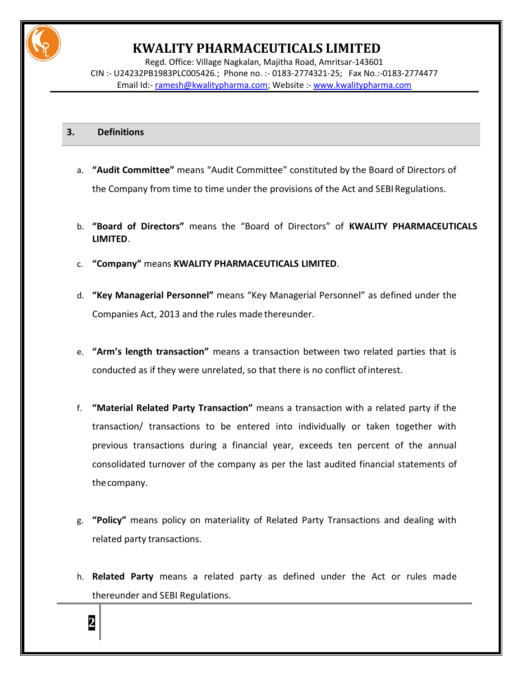

Regd. Office: Village Nagkalan, Majitha Road, Amritsar-143601 CIN :- U24232PB1983PLC005426.; Phone no. :- 0183-2774321-25; Fax No.:-0183-2774477 Email Id:- [ramesh@kwalitypharma.com;](mailto:ramesh@kwalitypharma.com) Website :- [www.kwalitypharma.com](http://www.kwalitypharma.com/)

### **3. Definitions**

**2**

- a. **"Audit Committee"** means "Audit Committee" constituted by the Board of Directors of the Company from time to time under the provisions of the Act and SEBI Regulations.
- b. **"Board of Directors"** means the "Board of Directors" of **KWALITY PHARMACEUTICALS LIMITED**.
- c. **"Company"** means **KWALITY PHARMACEUTICALS LIMITED**.
- d. **"Key Managerial Personnel"** means "Key Managerial Personnel" as defined under the Companies Act, 2013 and the rules made thereunder.
- e. **"Arm's length transaction"** means a transaction between two related parties that is conducted as if they were unrelated, so that there is no conflict ofinterest.
- f. **"Material Related Party Transaction"** means a transaction with a related party if the transaction/ transactions to be entered into individually or taken together with previous transactions during a financial year, exceeds ten percent of the annual consolidated turnover of the company as per the last audited financial statements of thecompany.
- g. **"Policy"** means policy on materiality of Related Party Transactions and dealing with related party transactions.
- h. **Related Party** means a related party as defined under the Act or rules made thereunder and SEBI Regulations.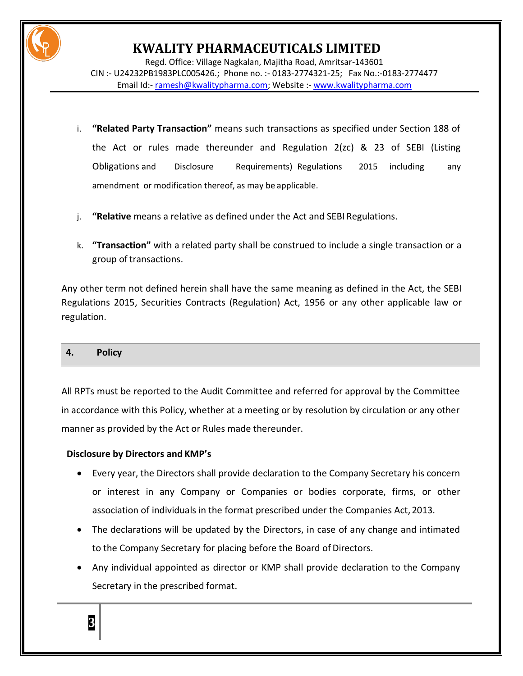

Regd. Office: Village Nagkalan, Majitha Road, Amritsar-143601 CIN :- U24232PB1983PLC005426.; Phone no. :- 0183-2774321-25; Fax No.:-0183-2774477 Email Id:- [ramesh@kwalitypharma.com;](mailto:ramesh@kwalitypharma.com) Website :- [www.kwalitypharma.com](http://www.kwalitypharma.com/)

- i. **"Related Party Transaction"** means such transactions as specified under Section 188 of the Act or rules made thereunder and Regulation 2(zc) & 23 of SEBI (Listing Obligations and Disclosure Requirements) Regulations 2015 including any amendment or modification thereof, as may be applicable.
- j. **"Relative** means a relative as defined under the Act and SEBI Regulations.
- k. **"Transaction"** with a related party shall be construed to include a single transaction or a group of transactions.

Any other term not defined herein shall have the same meaning as defined in the Act, the SEBI Regulations 2015, Securities Contracts (Regulation) Act, 1956 or any other applicable law or regulation.

#### **4. Policy**

All RPTs must be reported to the Audit Committee and referred for approval by the Committee in accordance with this Policy, whether at a meeting or by resolution by circulation or any other manner as provided by the Act or Rules made thereunder.

### **Disclosure by Directors and KMP's**

- Every year, the Directors shall provide declaration to the Company Secretary his concern or interest in any Company or Companies or bodies corporate, firms, or other association of individuals in the format prescribed under the Companies Act, 2013.
- The declarations will be updated by the Directors, in case of any change and intimated to the Company Secretary for placing before the Board of Directors.
- Any individual appointed as director or KMP shall provide declaration to the Company Secretary in the prescribed format.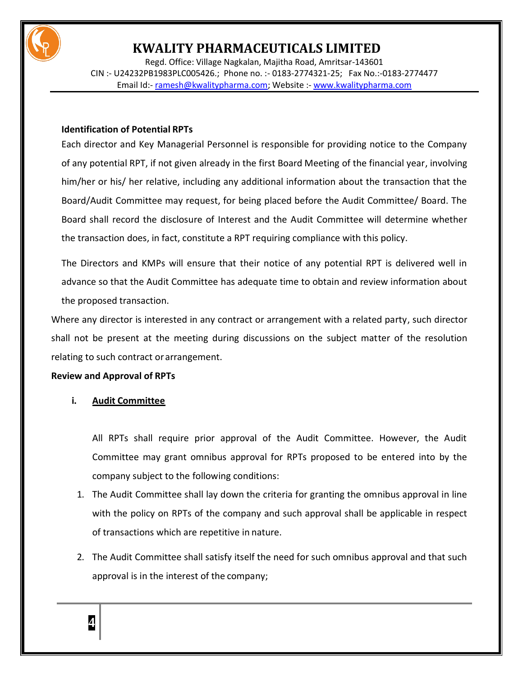

Regd. Office: Village Nagkalan, Majitha Road, Amritsar-143601 CIN :- U24232PB1983PLC005426.; Phone no. :- 0183-2774321-25; Fax No.:-0183-2774477 Email Id:- [ramesh@kwalitypharma.com;](mailto:ramesh@kwalitypharma.com) Website :- [www.kwalitypharma.com](http://www.kwalitypharma.com/)

### **Identification of Potential RPTs**

Each director and Key Managerial Personnel is responsible for providing notice to the Company of any potential RPT, if not given already in the first Board Meeting of the financial year, involving him/her or his/ her relative, including any additional information about the transaction that the Board/Audit Committee may request, for being placed before the Audit Committee/ Board. The Board shall record the disclosure of Interest and the Audit Committee will determine whether the transaction does, in fact, constitute a RPT requiring compliance with this policy.

The Directors and KMPs will ensure that their notice of any potential RPT is delivered well in advance so that the Audit Committee has adequate time to obtain and review information about the proposed transaction.

Where any director is interested in any contract or arrangement with a related party, such director shall not be present at the meeting during discussions on the subject matter of the resolution relating to such contract or arrangement.

### **Review and Approval of RPTs**

### **i. Audit Committee**

All RPTs shall require prior approval of the Audit Committee. However, the Audit Committee may grant omnibus approval for RPTs proposed to be entered into by the company subject to the following conditions:

- 1. The Audit Committee shall lay down the criteria for granting the omnibus approval in line with the policy on RPTs of the company and such approval shall be applicable in respect of transactions which are repetitive in nature.
- 2. The Audit Committee shall satisfy itself the need for such omnibus approval and that such approval is in the interest of the company;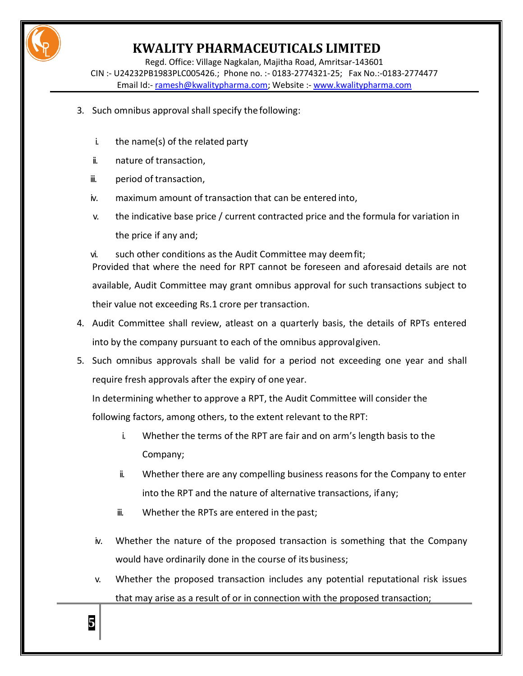

Regd. Office: Village Nagkalan, Majitha Road, Amritsar-143601 CIN :- U24232PB1983PLC005426.; Phone no. :- 0183-2774321-25; Fax No.:-0183-2774477 Email Id:- [ramesh@kwalitypharma.com;](mailto:ramesh@kwalitypharma.com) Website :- [www.kwalitypharma.com](http://www.kwalitypharma.com/)

- 3. Such omnibus approval shall specify the following:
	- i. the name(s) of the related party
	- ii. nature of transaction,
	- iii. period of transaction,
	- iv. maximum amount of transaction that can be entered into,
	- v. the indicative base price / current contracted price and the formula for variation in the price if any and;

vi. such other conditions as the Audit Committee may deemfit; Provided that where the need for RPT cannot be foreseen and aforesaid details are not available, Audit Committee may grant omnibus approval for such transactions subject to their value not exceeding Rs.1 crore per transaction.

- 4. Audit Committee shall review, atleast on a quarterly basis, the details of RPTs entered into by the company pursuant to each of the omnibus approvalgiven.
- 5. Such omnibus approvals shall be valid for a period not exceeding one year and shall require fresh approvals after the expiry of one year.

In determining whether to approve a RPT, the Audit Committee will consider the

following factors, among others, to the extent relevant to the RPT:

- i. Whether the terms of the RPT are fair and on arm's length basis to the Company;
- ii. Whether there are any compelling business reasons for the Company to enter into the RPT and the nature of alternative transactions, ifany;
- iii. Whether the RPTs are entered in the past;
- iv. Whether the nature of the proposed transaction is something that the Company would have ordinarily done in the course of its business;
- v. Whether the proposed transaction includes any potential reputational risk issues that may arise as a result of or in connection with the proposed transaction;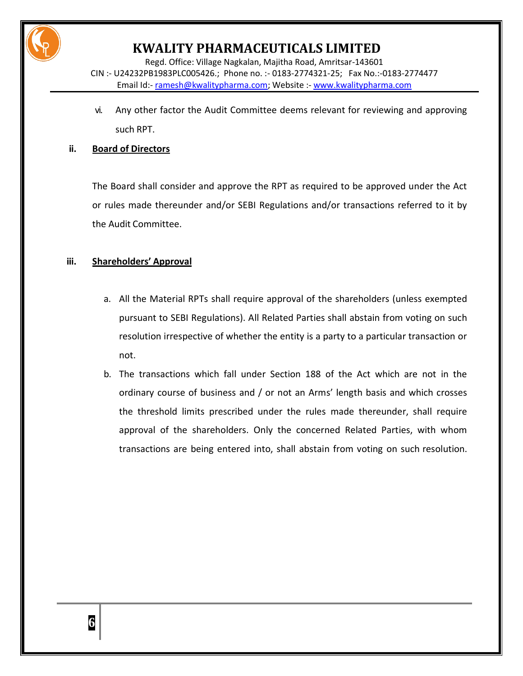

Regd. Office: Village Nagkalan, Majitha Road, Amritsar-143601 CIN :- U24232PB1983PLC005426.; Phone no. :- 0183-2774321-25; Fax No.:-0183-2774477 Email Id:- [ramesh@kwalitypharma.com;](mailto:ramesh@kwalitypharma.com) Website :- [www.kwalitypharma.com](http://www.kwalitypharma.com/)

vi. Any other factor the Audit Committee deems relevant for reviewing and approving such RPT.

### **ii. Board of Directors**

The Board shall consider and approve the RPT as required to be approved under the Act or rules made thereunder and/or SEBI Regulations and/or transactions referred to it by the Audit Committee.

### **iii. Shareholders' Approval**

- a. All the Material RPTs shall require approval of the shareholders (unless exempted pursuant to SEBI Regulations). All Related Parties shall abstain from voting on such resolution irrespective of whether the entity is a party to a particular transaction or not.
- b. The transactions which fall under Section 188 of the Act which are not in the ordinary course of business and / or not an Arms' length basis and which crosses the threshold limits prescribed under the rules made thereunder, shall require approval of the shareholders. Only the concerned Related Parties, with whom transactions are being entered into, shall abstain from voting on such resolution.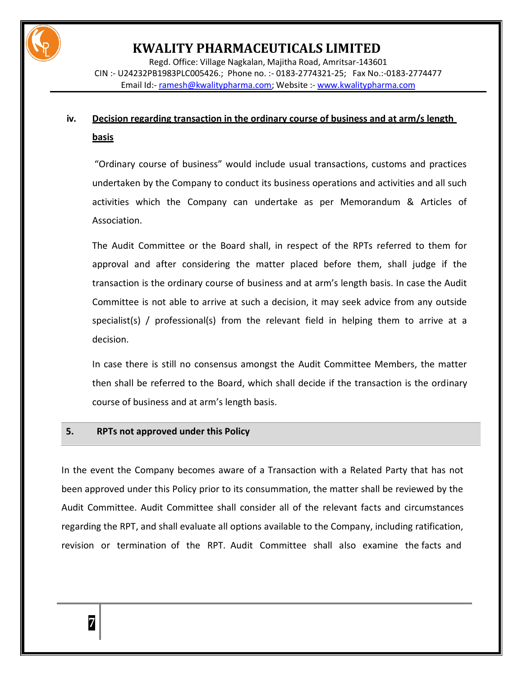

Regd. Office: Village Nagkalan, Majitha Road, Amritsar-143601 CIN :- U24232PB1983PLC005426.; Phone no. :- 0183-2774321-25; Fax No.:-0183-2774477 Email Id:- [ramesh@kwalitypharma.com;](mailto:ramesh@kwalitypharma.com) Website :- [www.kwalitypharma.com](http://www.kwalitypharma.com/)

### **iv. Decision regarding transaction in the ordinary course of business and at arm/s length basis**

"Ordinary course of business" would include usual transactions, customs and practices undertaken by the Company to conduct its business operations and activities and all such activities which the Company can undertake as per Memorandum & Articles of Association.

The Audit Committee or the Board shall, in respect of the RPTs referred to them for approval and after considering the matter placed before them, shall judge if the transaction is the ordinary course of business and at arm's length basis. In case the Audit Committee is not able to arrive at such a decision, it may seek advice from any outside specialist(s) / professional(s) from the relevant field in helping them to arrive at a decision.

In case there is still no consensus amongst the Audit Committee Members, the matter then shall be referred to the Board, which shall decide if the transaction is the ordinary course of business and at arm's length basis.

#### **5. RPTs not approved under this Policy**

In the event the Company becomes aware of a Transaction with a Related Party that has not been approved under this Policy prior to its consummation, the matter shall be reviewed by the Audit Committee. Audit Committee shall consider all of the relevant facts and circumstances regarding the RPT, and shall evaluate all options available to the Company, including ratification, revision or termination of the RPT. Audit Committee shall also examine the facts and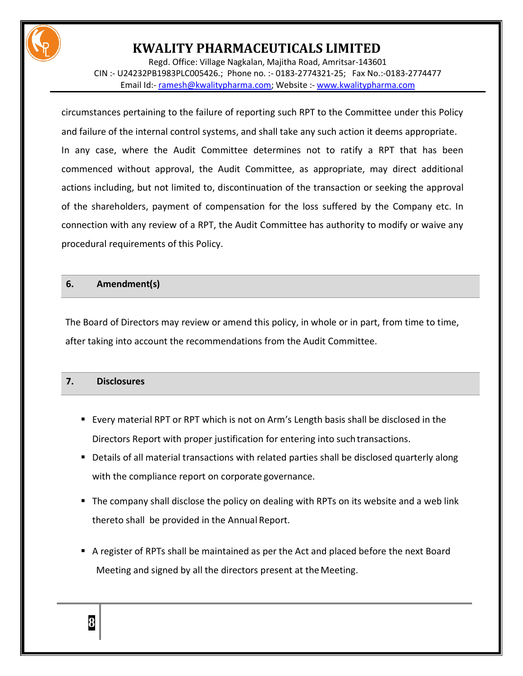

Regd. Office: Village Nagkalan, Majitha Road, Amritsar-143601 CIN :- U24232PB1983PLC005426.; Phone no. :- 0183-2774321-25; Fax No.:-0183-2774477 Email Id:- [ramesh@kwalitypharma.com;](mailto:ramesh@kwalitypharma.com) Website :- [www.kwalitypharma.com](http://www.kwalitypharma.com/)

circumstances pertaining to the failure of reporting such RPT to the Committee under this Policy and failure of the internal control systems, and shall take any such action it deems appropriate. In any case, where the Audit Committee determines not to ratify a RPT that has been commenced without approval, the Audit Committee, as appropriate, may direct additional actions including, but not limited to, discontinuation of the transaction or seeking the approval of the shareholders, payment of compensation for the loss suffered by the Company etc. In connection with any review of a RPT, the Audit Committee has authority to modify or waive any procedural requirements of this Policy.

#### **6. Amendment(s)**

The Board of Directors may review or amend this policy, in whole or in part, from time to time, after taking into account the recommendations from the Audit Committee.

### **7. Disclosures**

- Every material RPT or RPT which is not on Arm's Length basis shall be disclosed in the Directors Report with proper justification for entering into suchtransactions.
- **Details of all material transactions with related parties shall be disclosed quarterly along** with the compliance report on corporate governance.
- The company shall disclose the policy on dealing with RPTs on its website and a web link thereto shall be provided in the Annual Report.
- A register of RPTs shall be maintained as per the Act and placed before the next Board Meeting and signed by all the directors present at the Meeting.